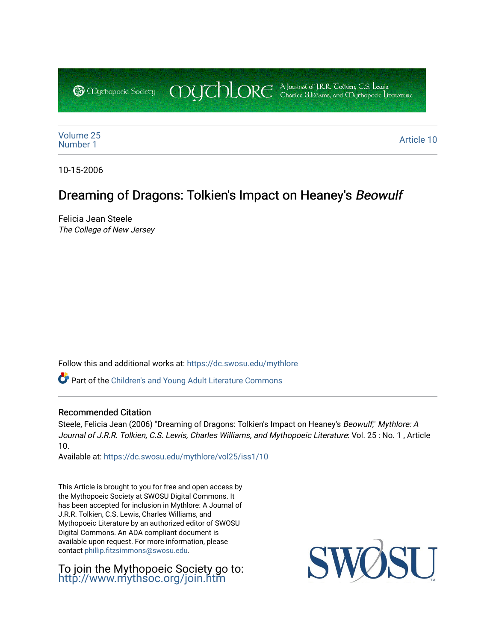COUCHORE A Journal of J.R.R. Colkien, C.S. Lewis, **@** *Oychopoeic* Sociecy

[Volume 25](https://dc.swosu.edu/mythlore/vol25) [Number 1](https://dc.swosu.edu/mythlore/vol25/iss1) Article 10<br>Number 1

10-15-2006

# Dreaming of Dragons: Tolkien's Impact on Heaney's Beowulf

Felicia Jean Steele The College of New Jersey

Follow this and additional works at: [https://dc.swosu.edu/mythlore](https://dc.swosu.edu/mythlore?utm_source=dc.swosu.edu%2Fmythlore%2Fvol25%2Fiss1%2F10&utm_medium=PDF&utm_campaign=PDFCoverPages) 

Part of the [Children's and Young Adult Literature Commons](http://network.bepress.com/hgg/discipline/1289?utm_source=dc.swosu.edu%2Fmythlore%2Fvol25%2Fiss1%2F10&utm_medium=PDF&utm_campaign=PDFCoverPages) 

#### Recommended Citation

Steele, Felicia Jean (2006) "Dreaming of Dragons: Tolkien's Impact on Heaney's Beowulf," Mythlore: A Journal of J.R.R. Tolkien, C.S. Lewis, Charles Williams, and Mythopoeic Literature: Vol. 25 : No. 1 , Article 10.

Available at: [https://dc.swosu.edu/mythlore/vol25/iss1/10](https://dc.swosu.edu/mythlore/vol25/iss1/10?utm_source=dc.swosu.edu%2Fmythlore%2Fvol25%2Fiss1%2F10&utm_medium=PDF&utm_campaign=PDFCoverPages)

This Article is brought to you for free and open access by the Mythopoeic Society at SWOSU Digital Commons. It has been accepted for inclusion in Mythlore: A Journal of J.R.R. Tolkien, C.S. Lewis, Charles Williams, and Mythopoeic Literature by an authorized editor of SWOSU Digital Commons. An ADA compliant document is available upon request. For more information, please contact [phillip.fitzsimmons@swosu.edu.](mailto:phillip.fitzsimmons@swosu.edu)

To join the Mythopoeic Society go to: <http://www.mythsoc.org/join.htm>

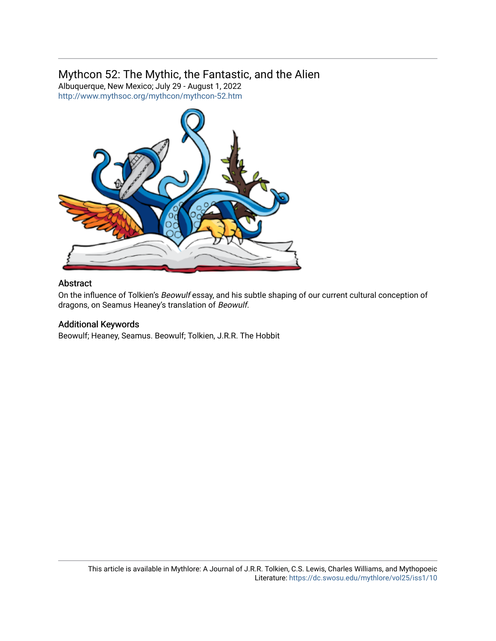## Mythcon 52: The Mythic, the Fantastic, and the Alien

Albuquerque, New Mexico; July 29 - August 1, 2022 <http://www.mythsoc.org/mythcon/mythcon-52.htm>



#### Abstract

On the influence of Tolkien's Beowulf essay, and his subtle shaping of our current cultural conception of dragons, on Seamus Heaney's translation of Beowulf.

#### Additional Keywords

Beowulf; Heaney, Seamus. Beowulf; Tolkien, J.R.R. The Hobbit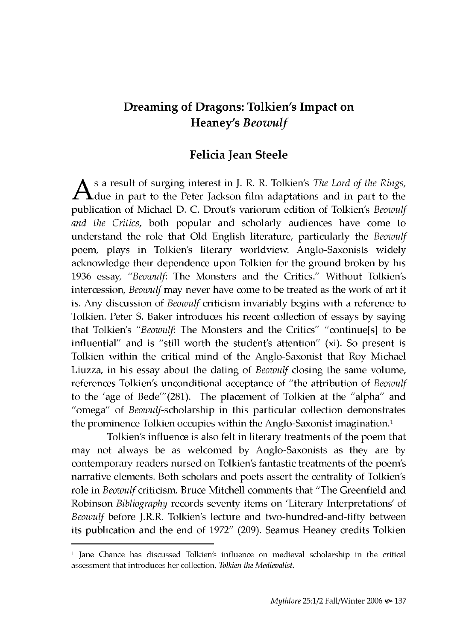### **Dreaming of Dragons: Tolkien's Impact on Heaney's** *Beowulf*

#### **Felicia Jean Steele**

As a result of surging interest in J. R. R. Tolkien's *The Lord of the Rings,* due in part to the Peter Jackson film adaptations and in part to the publication of Michael D. C. Drout's variorum edition of Tolkien's *Beowulf and the Critics,* both popular and scholarly audiences have come to understand the role that Old English literature, particularly the *Beowulf* poem, plays in Tolkien's literary worldview. Anglo-Saxonists widely acknowledge their dependence upon Tolkien for the ground broken by his 1936 essay, "*Beowulf*: The Monsters and the Critics." Without Tolkien's intercession, *Beowulf* may never have come to be treated as the work of art it is. Any discussion of *Beowulf* criticism invariably begins with a reference to Tolkien. Peter S. Baker introduces his recent collection of essays by saying that Tolkien's "Beowulf: The Monsters and the Critics" "continue[s] to be influential" and is "still worth the student's attention"  $(xi)$ . So present is Tolkien within the critical mind of the Anglo-Saxonist that Roy Michael Liuzza, in his essay about the dating of *Beowulf* closing the same volume, references Tolkien's unconditional acceptance of "the attribution of *Beowulf* to the 'age of Bede'''(281). The placement of Tolkien at the "alpha" and "omega" of *Beowulf-scholarship* in this particular collection demonstrates the prominence Tolkien occupies within the Anglo-Saxonist imagination.<sup>1</sup>

Tolkien's influence is also felt in literary treatments of the poem that may not always be as welcomed by Anglo-Saxonists as they are by contemporary readers nursed on Tolkien's fantastic treatments of the poem's narrative elements. Both scholars and poets assert the centrality of Tolkien's role in *Beowulf* criticism. Bruce Mitchell comments that "The Greenfield and Robinson *Bibliography* records seventy items on 'Literary Interpretations' of Beowulf before J.R.R. Tolkien's lecture and two-hundred-and-fifty between its publication and the end of 1972" (209). Seamus Heaney credits Tolkien

<sup>&</sup>lt;sup>1</sup> Jane Chance has discussed Tolkien's influence on medieval scholarship in the critical assessment that introduces her collection, *Tolkien the Medievalist.*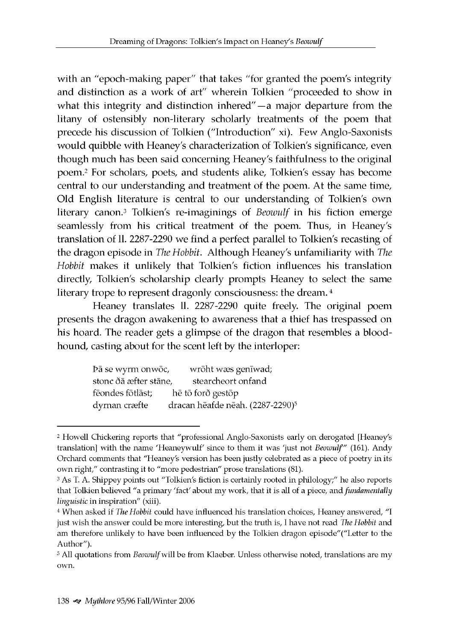with an "epoch-making paper" that takes "for granted the poem's integrity and distinction as a work of art" wherein Tolkien "proceeded to show in what this integrity and distinction inhered" $-$ a major departure from the litany of ostensibly non-literary scholarly treatments of the poem that precede his discussion of Tolkien ("Introduction" xi). Few Anglo-Saxonists would quibble with Heaney's characterization of Tolkien's significance, even though much has been said concerning Heaney's faithfulness to the original poem .2 For scholars, poets, and students alike, Tolkien's essay has become central to our understanding and treatment of the poem. At the same time, Old English literature is central to our understanding of Tolkien's own literary canon.3 Tolkien's re-imaginings of *Beowulf* in his fiction emerge seamlessly from his critical treatment of the poem. Thus, in Heaney's translation of ll. 2287-2290 we find a perfect parallel to Tolkien's recasting of the dragon episode in *The Hobbit.* Although Heaney's unfamiliarity with *The Hobbit* makes it unlikely that Tolkien's fiction influences his translation directly, Tolkien's scholarship clearly prompts Heaney to select the same literary trope to represent dragonly consciousness: the dream.<sup>4</sup>

Heaney translates ll. 2287-2290 quite freely. The original poem presents the dragon awakening to awareness that a thief has trespassed on his hoard. The reader gets a glimpse of the dragon that resembles a bloodhound, casting about for the scent left by the interloper:

| Þā se wyrm onwōc,     | wrōht wæs genīwad;                           |
|-----------------------|----------------------------------------------|
| stonc ðā æfter stāne, | stearcheort onfand                           |
| fēondes fōtlāst;      | hē tō forð gestōp                            |
| dyrnan cræfte         | dracan hēafde nēah. (2287-2290) <sup>5</sup> |

<sup>2</sup> Howell Chickering reports that "professional Anglo-Saxonists early on derogated [Heaney's translation] with the name 'Heaneywulf' since to them it was 'just not *Beowulf''* (161). Andy Orchard comments that "Heaney's version has been justly celebrated as a piece of poetry in its own right," contrasting it to "more pedestrian" prose translations (81).

<sup>3</sup> As T. A. Shippey points out "Tolkien's fiction is certainly rooted in philology;" he also reports that Tolkien believed "a primary 'fact' about my work, that it is all of a piece, and *fundamentally linguistic* in inspiration" (xiii).

<sup>4</sup> When asked if *The Hobbit* could have influenced his translation choices, Heaney answered, "I just wish the answer could be more interesting, but the truth is, I have not read *The Hobbit* and am therefore unlikely to have been influenced by the Tolkien dragon episode"("Letter to the Author").

<sup>5</sup> All quotations from *Beowulf* will be from Klaeber. Unless otherwise noted, translations are my own.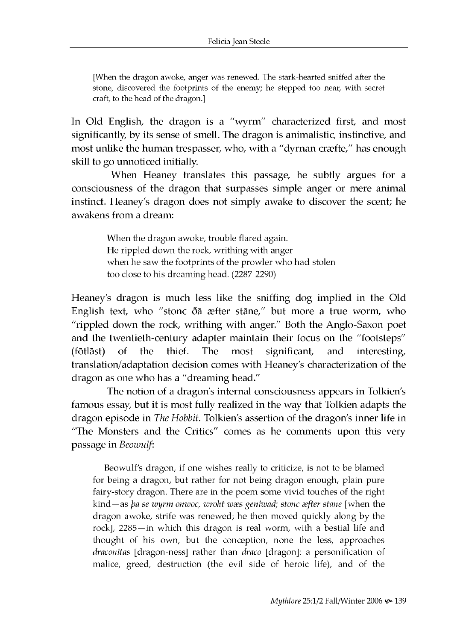[When the dragon awoke, anger was renewed. The stark-hearted sniffed after the stone, discovered the footprints of the enemy; he stepped too near, with secret craft, to the head of the dragon.]

In Old English, the dragon is a "wyrm" characterized first, and most significantly, by its sense of smell. The dragon is animalistic, instinctive, and most unlike the human trespasser, who, with a "dyrnan cræfte," has enough skill to go unnoticed initially.

When Heaney translates this passage, he subtly argues for a consciousness of the dragon that surpasses simple anger or mere animal instinct. Heaney's dragon does not simply awake to discover the scent; he awakens from a dream:

> When the dragon awoke, trouble flared again. He rippled down the rock, writhing with anger when he saw the footprints of the prowler who had stolen too close to his dreaming head. (2287-2290)

Heaney's dragon is much less like the sniffing dog implied in the Old English text, who "stonc ðā æfter stāne," but more a true worm, who "rippled down the rock, writhing with anger." Both the Anglo-Saxon poet and the twentieth-century adapter maintain their focus on the "footsteps" (fotlast) of the thief. The most significant, and interesting, translation/adaptation decision comes with Heaney's characterization of the dragon as one who has a "dreaming head."

The notion of a dragon's internal consciousness appears in Tolkien's famous essay, but it is most fully realized in the way that Tolkien adapts the dragon episode in *The Hobbit.* Tolkien's assertion of the dragon's inner life in "The Monsters and the Critics" comes as he comments upon this very passage in *Beowulf:*

Beowulf's dragon, if one wishes really to criticize, is not to be blamed for being a dragon, but rather for not being dragon enough, plain pure fairy-story dragon. There are in the poem some vivid touches of the right kind —as *pa se wyrm onwoc, wroht waes geniwad; stonc after stane* [when the dragon awoke, strife was renewed; he then moved quickly along by the rock], 2285-in which this dragon is real worm, with a bestial life and thought of his own, but the conception, none the less, approaches *draconitas* [dragon-ness] rather than *draco* [dragon]: a personification of malice, greed, destruction (the evil side of heroic life), and of the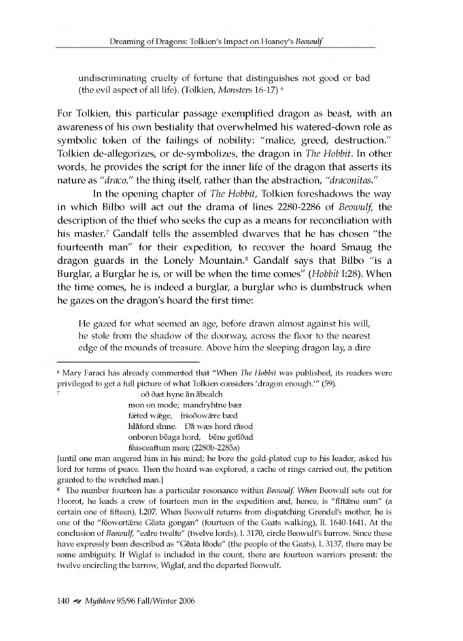**undiscriminating cruelty of fortune that distinguishes not good or bad (the evil aspect of all life). (Tolkien,** *Monsters* **16-17) 6**

For Tolkien, this particular passage exemplified dragon as beast, with an awareness of his own bestiality that overwhelmed his watered-down role as symbolic token of the failings of nobility: "malice, greed, destruction." Tolkien de-allegorizes, or de-symbolizes, the dragon in *The Hobbit.* In other words, he provides the script for the inner life of the dragon that asserts its nature as *"draco,"* the thing itself, rather than the abstraction, *"draconitas."*

In the opening chapter of *The Hobbit*, Tolkien foreshadows the way in which Bilbo will act out the drama of lines 2280-2286 of *Beowulf*, the description of the thief who seeks the cup as a means for reconciliation with his master.<sup>7</sup> Gandalf tells the assembled dwarves that he has chosen "the fourteenth man" for their expedition, to recover the hoard Smaug the dragon guards in the Lonely Mountain.<sup>8</sup> Gandalf says that Bilbo "is a Burglar, a Burglar he is, or will be w hen the time comes" *(Hobbit* I:28). W hen the time comes, he is indeed a burglar, a burglar who is dumbstruck when he gazes on the dragon's hoard the first time:

**He gazed for what seemed an age, before drawn almost against his will, he stole from the shadow of the doorway, across the floor to the nearest edge of the m ounds of treasure. Above him the sleeping dragon lay, a dire**

oð ðæt hyne än abealch mon on mode; mandryhtne bær fæted wæge, friodowære bæd hlaford sinne. Da wæs hord rasod onboren bēaga hord, bēne getīðad feasceaftum men; (2280b-2285a)

<sup>6</sup> Mary Faraci has already commented that "When *The Hobbit* was published, its readers were privileged to get a full picture of what Tolkien considers 'dragon enough.'" (59).

<sup>[</sup>until one man angered him in his mind; he bore the gold-plated cup to his leader, asked his lord for terms of peace. Then the hoard was explored, a cache of rings carried out, the petition granted to the wretched man.]

<sup>8</sup> The number fourteen has a particular resonance within *Beowulf. When* Beowulf sets out for Heorot, he leads a crew of fourteen men in the expedition and, hence, is "fiftaine sum" (a certain one of fifteen), l.207. When Beowulf returns from dispatching Grendel's mother, he is one of the "feowertæne Geata gongan" (fourteen of the Geats walking), 11. 1640-1641. At the conclusion of *Beowulf,* "ealre twelfe" (twelve lords), l. 3170, circle Beowulf's barrow. Since these have expressly been described as "Gēata lēode" (the people of the Geats), l. 3137, there may be some ambiguity. If Wiglaf is included in the count, there are fourteen warriors present: the twelve encircling the barrow, Wiglaf, and the departed Beowulf.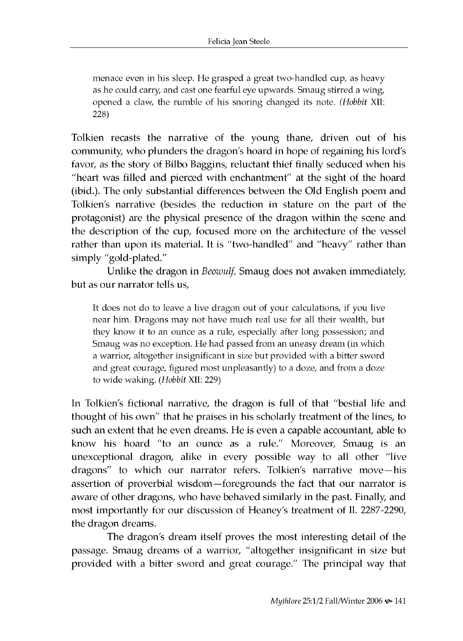menace even in his sleep. He grasped a great two-handled cup, as heavy as he could carry, and cast one fearful eye upwards. Smaug stirred a wing, opened a claw, the rumble of his snoring changed its note. *(Hobbit XII:* 228)

Tolkien recasts the narrative of the young thane, driven out of his community, who plunders the dragon's hoard in hope of regaining his lord's favor, as the story of Bilbo Baggins, reluctant thief finally seduced when his "heart was filled and pierced with enchantment" at the sight of the hoard (ibid.). The only substantial differences between the Old English poem and Tolkien's narrative (besides the reduction in stature on the part of the protagonist) are the physical presence of the dragon within the scene and the description of the cup, focused more on the architecture of the vessel rather than upon its material. It is "two-handled" and "heavy" rather than simply "gold-plated."

Unlike the dragon in *Beowulf*, Smaug does not awaken immediately, but as our narrator tells us,

It does not do to leave a live dragon out of your calculations, if you live near him. Dragons may not have much real use for all their wealth, but they know it to an ounce as a rule, especially after long possession; and Smaug was no exception. He had passed from an uneasy dream (in which a warrior, altogether insignificant in size but provided with a bitter sword and great courage, figured most unpleasantly) to a doze, and from a doze to wide waking. *(Hobbit XII: 229)* 

In Tolkien's fictional narrative, the dragon is full of that "bestial life and thought of his own" that he praises in his scholarly treatment of the lines, to such an extent that he even dreams. He is even a capable accountant, able to know his hoard "to an ounce as a rule." Moreover, Smaug is an unexceptional dragon, alike in every possible way to all other "live dragons" to which our narrator refers. Tolkien's narrative move-his assertion of proverbial wisdom-foregrounds the fact that our narrator is aware of other dragons, who have behaved similarly in the past. Finally, and most importantly for our discussion of Heaney's treatment of ll. 2287-2290, the dragon dreams.

The dragon's dream itself proves the most interesting detail of the passage. Smaug dreams of a warrior, "altogether insignificant in size but provided with a bitter sword and great courage." The principal way that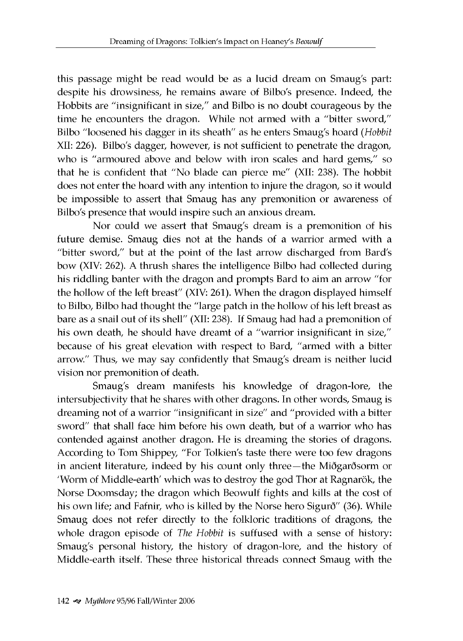this passage might be read would be as a lucid dream on Smaug's part: despite his drowsiness, he remains aware of Bilbo's presence. Indeed, the Hobbits are "insignificant in size," and Bilbo is no doubt courageous by the time he encounters the dragon. While not armed with a "bitter sword," Bilbo "loosened his dagger in its sheath" as he enters Smaug's hoard *(Hobbit* XII: 226). Bilbo's dagger, however, is not sufficient to penetrate the dragon, who is "armoured above and below with iron scales and hard gems," so that he is confident that "No blade can pierce me" (XII: 238). The hobbit does not enter the hoard with any intention to injure the dragon, so it would be impossible to assert that Smaug has any premonition or awareness of Bilbo's presence that would inspire such an anxious dream.

Nor could we assert that Smaug's dream is a premonition of his future demise. Smaug dies not at the hands of a warrior armed with a "bitter sword," but at the point of the last arrow discharged from Bard's bow (XIV: 262). A thrush shares the intelligence Bilbo had collected during his riddling banter with the dragon and prompts Bard to aim an arrow "for the hollow of the left breast" (XIV: 261). W hen the dragon displayed himself to Bilbo, Bilbo had thought the "large patch in the hollow of his left breast as bare as a snail out of its shell" (XII: 238). If Smaug had had a premonition of his own death, he should have dreamt of a "warrior insignificant in size," because of his great elevation with respect to Bard, "armed with a bitter arrow." Thus, we may say confidently that Smaug's dream is neither lucid vision nor premonition of death.

Smaug's dream manifests his knowledge of dragon-lore, the intersubjectivity that he shares with other dragons. In other words, Smaug is dreaming not of a warrior "insignificant in size" and "provided with a bitter sword" that shall face him before his own death, but of a warrior who has contended against another dragon. He is dreaming the stories of dragons. According to Tom Shippey, "For Tolkien's taste there were too few dragons in ancient literature, indeed by his count only three—the Miðgarðsorm or 'Worm of Middle-earth' which was to destroy the god Thor at Ragnarök, the Norse Doomsday; the dragon which Beowulf fights and kills at the cost of his own life; and Fafnir, who is killed by the Norse hero Sigurð" (36). While Smaug does not refer directly to the folkloric traditions of dragons, the whole dragon episode of *The Hobbit* is suffused with a sense of history: Smaug's personal history, the history of dragon-lore, and the history of Middle-earth itself. These three historical threads connect Smaug with the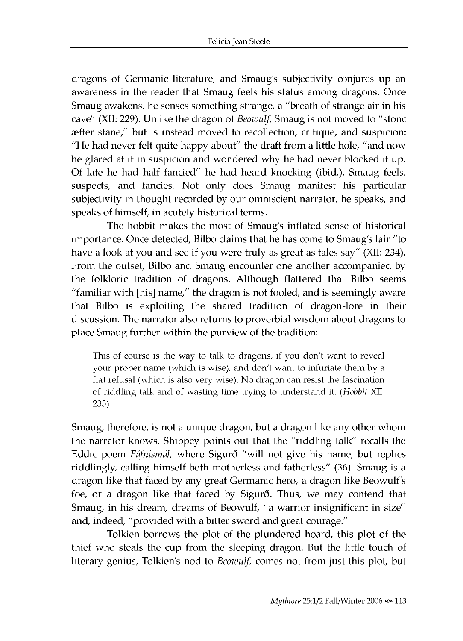dragons of Germanic literature, and Smaug's subjectivity conjures up an awareness in the reader that Smaug feels his status among dragons. Once Smaug awakens, he senses something strange, a "breath of strange air in his cave" (XII: 229). Unlike the dragon of *Beowulf*, Smaug is not moved to "stonc  $\text{a}$  after stane," but is instead moved to recollection, critique, and suspicion: "He had never felt quite happy about" the draft from a little hole, "and now he glared at it in suspicion and wondered why he had never blocked it up. Of late he had half fancied" he had heard knocking (ibid.). Smaug feels, suspects, and fancies. Not only does Smaug manifest his particular subjectivity in thought recorded by our omniscient narrator, he speaks, and speaks of himself, in acutely historical terms.

The hobbit makes the most of Smaug's inflated sense of historical im portance. Once detected, Bilbo claims that he has come to Smaug's lair "to have a look at you and see if you were truly as great as tales say" (XII: 234). From the outset, Bilbo and Smaug encounter one another accompanied by the folkloric tradition of dragons. Although flattered that Bilbo seems "familiar with [his] name," the dragon is not fooled, and is seemingly aware that Bilbo is exploiting the shared tradition of dragon-lore in their discussion. The narrator also returns to proverbial wisdom about dragons to place Smaug further within the purview of the tradition:

This of course is the way to talk to dragons, if you don't want to reveal your proper name (which is wise), and don't want to infuriate them by a flat refusal (which is also very wise). No dragon can resist the fascination of riddling talk and of wasting time trying to understand it. (Hobbit XII: 235)

Smaug, therefore, is not a unique dragon, but a dragon like any other whom the narrator knows. Shippey points out that the "riddling talk" recalls the Eddic poem *Fafnismal,* w here Sigurd "will not give his name, but replies riddlingly, calling himself both motherless and fatherless" (36). Smaug is a dragon like that faced by any great Germanic hero, a dragon like Beowulf's foe, or a dragon like that faced by Sigurð. Thus, we may contend that Smaug, in his dream, dreams of Beowulf, "a warrior insignificant in size" and, indeed, "provided with a bitter sword and great courage."

Tolkien borrows the plot of the plundered hoard, this plot of the thief who steals the cup from the sleeping dragon. But the little touch of literary genius, Tolkien's nod to *Beowulf,* comes not from just this plot, but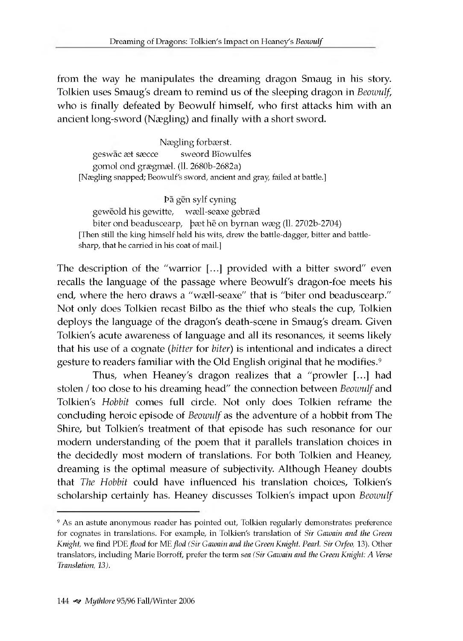from the way he manipulates the dreaming dragon Smaug in his story. Tolkien uses Smaug's dream to remind us of the sleeping dragon in *Beowulf*, who is finally defeated by Beowulf himself, who first attacks him with an ancient long-sword (Nægling) and finally with a short sword.

Nægling forbærst. geswac æt sæcce sweord Biowulfes gomol ond grægmæl. (11. 2680b-2682a) [Nægling snapped; Beowulf's sword, ancient and gray, failed at battle.]

Pā gēn sylf cyning geweold his gewitte, wæll-seaxe gebræd biter ond beaduscearp, bæt he on byrnan wæg (ll. 2702b-2704) [Then still the king himself held his wits, drew the battle-dagger, bitter and battlesharp, that he carried in his coat of mail.]

The description of the "warrior [...] provided with a bitter sword" even recalls the language of the passage where Beowulf's dragon-foe meets his end, where the hero draws a "w all-seaxe" that is "biter ond beaduscearp." Not only does Tolkien recast Bilbo as the thief who steals the cup, Tolkien deploys the language of the dragon's death-scene in Smaug's dream . Given Tolkien's acute awareness of language and all its resonances, it seems likely that his use of a cognate *(bitter* for *biter)* is intentional and indicates a direct gesture to readers familiar with the Old English original that he modifies.<sup>9</sup>

Thus, when Heaney's dragon realizes that a "prowler [...] had stolen / too close to his dreaming head" the connection between *Beowulf* and Tolkien's Hobbit comes full circle. Not only does Tolkien reframe the concluding heroic episode of *Beowulf* as the adventure of a hobbit from The Shire, but Tolkien's treatment of that episode has such resonance for our modern understanding of the poem that it parallels translation choices in the decidedly most modern of translations. For both Tolkien and Heaney, dreaming is the optimal measure of subjectivity. Although Heaney doubts that *The Hobbit* could have influenced his translation choices, Tolkien's scholarship certainly has. Heaney discusses Tolkien's impact upon *Beowulf* 

<sup>9</sup> As an astute anonymous reader has pointed out, Tolkien regularly demonstrates preference for cognates in translations. For example, in Tolkien's translation of *Sir Gawain and the Green Knight,* we find PDE *flood* for ME *flod (Sir Gawain and the Green Knight. Pearl. Sir Orfeo,* 13). Other translators, including Marie Borroff, prefer the term *sea (Sir Gawain and the Green Knight: A Verse Translation, 13).*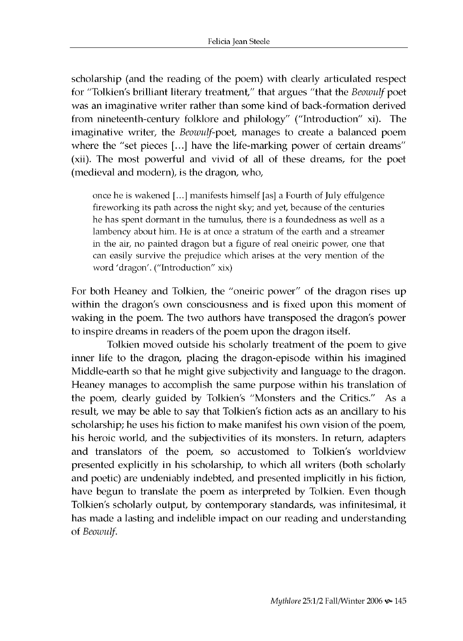scholarship (and the reading of the poem) with clearly articulated respect for "Tolkien's brilliant literary treatment," that argues "that the *Beowulf* poet was an imaginative writer rather than some kind of back-formation derived from nineteenth-century folklore and philology" ("Introduction" xi). The imaginative writer, the *Beowulf-poet*, manages to create a balanced poem where the "set pieces [...] have the life-marking power of certain dreams" (xii). The most powerful and vivid of all of these dreams, for the poet (medieval and modern), is the dragon, who,

once he is wakened [...] manifests himself [as] a Fourth of July effulgence fireworking its path across the night sky; and yet, because of the centuries he has spent dormant in the tumulus, there is a foundedness as well as a lambency about him. He is at once a stratum of the earth and a streamer in the air, no painted dragon but a figure of real oneiric power, one that can easily survive the prejudice which arises at the very mention of the word 'dragon'. ("Introduction" xix)

For both Heaney and Tolkien, the "oneiric power" of the dragon rises up within the dragon's own consciousness and is fixed upon this moment of waking in the poem. The two authors have transposed the dragon's power to inspire dreams in readers of the poem upon the dragon itself.

Tolkien moved outside his scholarly treatment of the poem to give inner life to the dragon, placing the dragon-episode within his imagined Middle-earth so that he might give subjectivity and language to the dragon. Heaney manages to accomplish the same purpose within his translation of the poem, clearly guided by Tolkien's "Monsters and the Critics." As a result, we may be able to say that Tolkien's fiction acts as an ancillary to his scholarship; he uses his fiction to make manifest his own vision of the poem, his heroic world, and the subjectivities of its monsters. In return, adapters and translators of the poem, so accustomed to Tolkien's worldview presented explicitly in his scholarship, to which all writers (both scholarly and poetic) are undeniably indebted, and presented implicitly in his fiction, have begun to translate the poem as interpreted by Tolkien. Even though Tolkien's scholarly output, by contemporary standards, was infinitesimal, it has made a lasting and indelible impact on our reading and understanding of *Beowulf*.